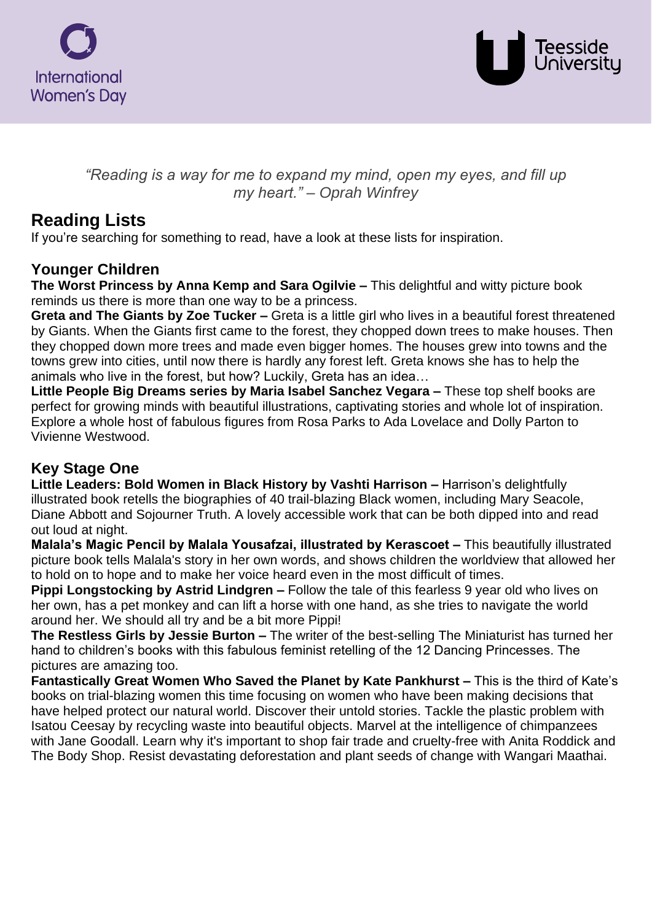



*"Reading is a way for me to expand my mind, open my eyes, and fill up my heart." – Oprah Winfrey*

# **Reading Lists**

If you're searching for something to read, have a look at these lists for inspiration.

### **Younger Children**

**The Worst Princess by Anna Kemp and Sara Ogilvie –** This delightful and witty picture book reminds us there is more than one way to be a princess.

**Greta and The Giants by Zoe Tucker –** Greta is a little girl who lives in a beautiful forest threatened by Giants. When the Giants first came to the forest, they chopped down trees to make houses. Then they chopped down more trees and made even bigger homes. The houses grew into towns and the towns grew into cities, until now there is hardly any forest left. Greta knows she has to help the animals who live in the forest, but how? Luckily, Greta has an idea…

**Little People Big Dreams series by Maria Isabel Sanchez Vegara –** These top shelf books are perfect for growing minds with beautiful illustrations, captivating stories and whole lot of inspiration. Explore a whole host of fabulous figures from Rosa Parks to Ada Lovelace and Dolly Parton to Vivienne Westwood.

## **Key Stage One**

**Little Leaders: Bold Women in Black History by Vashti Harrison –** Harrison's delightfully illustrated book retells the biographies of 40 trail-blazing Black women, including Mary Seacole, Diane Abbott and Sojourner Truth. A lovely accessible work that can be both dipped into and read out loud at night.

**Malala's Magic Pencil by Malala Yousafzai, illustrated by Kerascoet –** This beautifully illustrated picture book tells Malala's story in her own words, and shows children the worldview that allowed her to hold on to hope and to make her voice heard even in the most difficult of times.

**Pippi Longstocking by Astrid Lindgren –** Follow the tale of this fearless 9 year old who lives on her own, has a pet monkey and can lift a horse with one hand, as she tries to navigate the world around her. We should all try and be a bit more Pippi!

**The Restless Girls by Jessie Burton –** The writer of the best-selling The Miniaturist has turned her hand to children's books with this fabulous feminist retelling of the 12 Dancing Princesses. The pictures are amazing too.

**Fantastically Great Women Who Saved the Planet by Kate Pankhurst –** This is the third of Kate's books on trial-blazing women this time focusing on women who have been making decisions that have helped protect our natural world. Discover their untold stories. Tackle the plastic problem with Isatou Ceesay by recycling waste into beautiful objects. Marvel at the intelligence of chimpanzees with Jane Goodall. Learn why it's important to shop fair trade and cruelty-free with Anita Roddick and The Body Shop. Resist devastating deforestation and plant seeds of change with Wangari Maathai.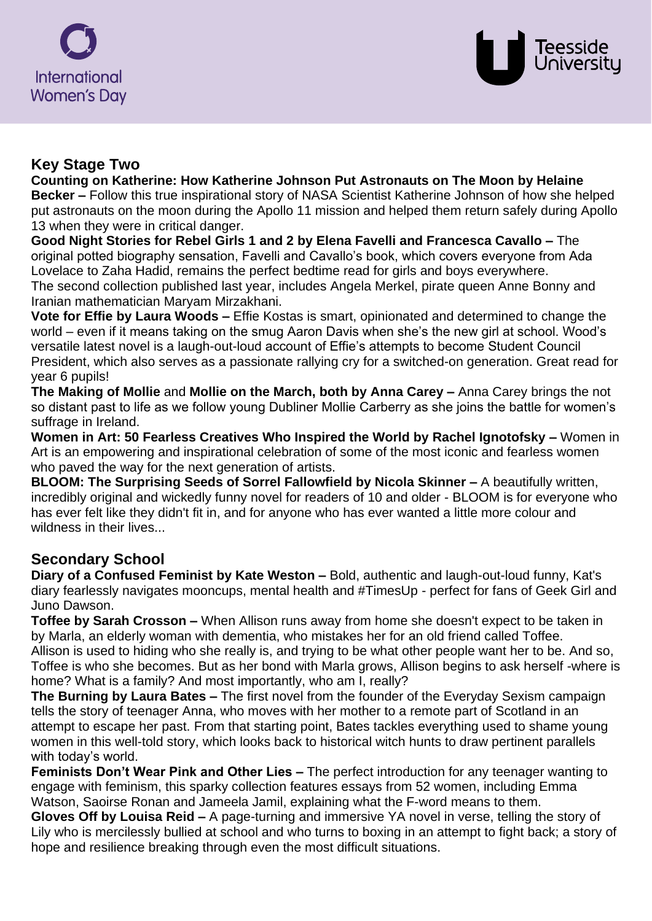



#### **Key Stage Two**

**Counting on Katherine: How Katherine Johnson Put Astronauts on The Moon by Helaine Becker –** Follow this true inspirational story of NASA Scientist Katherine Johnson of how she helped put astronauts on the moon during the Apollo 11 mission and helped them return safely during Apollo 13 when they were in critical danger.

**Good Night Stories for Rebel Girls 1 and 2 by Elena Favelli and Francesca Cavallo –** The original potted biography sensation, Favelli and Cavallo's book, which covers everyone from Ada Lovelace to Zaha Hadid, remains the perfect bedtime read for girls and boys everywhere. The second collection published last year, includes Angela Merkel, pirate queen Anne Bonny and Iranian mathematician Maryam Mirzakhani.

**Vote for Effie by Laura Woods –** Effie Kostas is smart, opinionated and determined to change the world – even if it means taking on the smug Aaron Davis when she's the new girl at school. Wood's versatile latest novel is a laugh-out-loud account of Effie's attempts to become Student Council President, which also serves as a passionate rallying cry for a switched-on generation. Great read for year 6 pupils!

**The Making of Mollie** and **Mollie on the March, both by Anna Carey –** Anna Carey brings the not so distant past to life as we follow young Dubliner Mollie Carberry as she joins the battle for women's suffrage in Ireland.

**Women in Art: 50 Fearless Creatives Who Inspired the World by Rachel Ignotofsky –** Women in Art is an empowering and inspirational celebration of some of the most iconic and fearless women who paved the way for the next generation of artists.

**BLOOM: The Surprising Seeds of Sorrel Fallowfield by Nicola Skinner –** A beautifully written, incredibly original and wickedly funny novel for readers of 10 and older - BLOOM is for everyone who has ever felt like they didn't fit in, and for anyone who has ever wanted a little more colour and wildness in their lives...

## **Secondary School**

**Diary of a Confused Feminist by Kate Weston –** Bold, authentic and laugh-out-loud funny, Kat's diary fearlessly navigates mooncups, mental health and #TimesUp - perfect for fans of Geek Girl and Juno Dawson.

**Toffee by Sarah Crosson –** When Allison runs away from home she doesn't expect to be taken in by Marla, an elderly woman with dementia, who mistakes her for an old friend called Toffee. Allison is used to hiding who she really is, and trying to be what other people want her to be. And so, Toffee is who she becomes. But as her bond with Marla grows, Allison begins to ask herself -where is home? What is a family? And most importantly, who am I, really?

**The Burning by Laura Bates –** The first novel from the founder of the Everyday Sexism campaign tells the story of teenager Anna, who moves with her mother to a remote part of Scotland in an attempt to escape her past. From that starting point, Bates tackles everything used to shame young women in this well-told story, which looks back to historical witch hunts to draw pertinent parallels with today's world.

**Feminists Don't Wear Pink and Other Lies –** The perfect introduction for any teenager wanting to engage with feminism, this sparky collection features essays from 52 women, including Emma Watson, Saoirse Ronan and Jameela Jamil, explaining what the F-word means to them.

**Gloves Off by Louisa Reid –** A page-turning and immersive YA novel in verse, telling the story of Lily who is mercilessly bullied at school and who turns to boxing in an attempt to fight back; a story of hope and resilience breaking through even the most difficult situations.